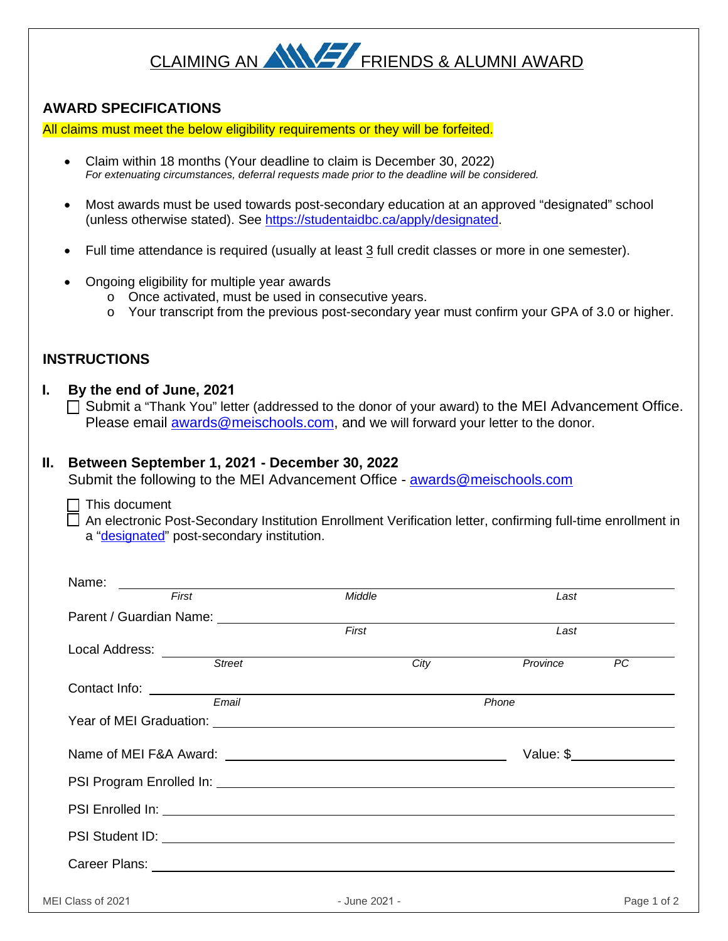# CLAIMING AN ANY FRIENDS & ALUMNI AWARD

## **AWARD SPECIFICATIONS**

All claims must meet the below eligibility requirements or they will be forfeited.

- Claim within 18 months (Your deadline to claim is December 30, 2022) *For extenuating circumstances, deferral requests made prior to the deadline will be considered.*
- Most awards must be used towards post-secondary education at an approved "designated" school (unless otherwise stated). Se[e https://studentaidbc.ca/apply/designated.](https://studentaidbc.ca/apply/designated)
- Full time attendance is required (usually at least 3 full credit classes or more in one semester).
- Ongoing eligibility for multiple year awards
	- o Once activated, must be used in consecutive years.
	- o Your transcript from the previous post-secondary year must confirm your GPA of 3.0 or higher.

## **INSTRUCTIONS**

#### **I. By the end of June, 2021**

 $\Box$  Submit a "Thank You" letter (addressed to the donor of your award) to the MEI Advancement Office. Please email [awards@meischools.com,](mailto:awards@meischools.com) and we will forward your letter to the donor.

### **II. Between September 1, 2021 - December 30, 2022**

Submit the following to the MEI Advancement Office - [awards@meischools.com](mailto:awards@meischools.com)

#### This document

 An electronic Post-Secondary Institution Enrollment Verification letter, confirming full-time enrollment in a ["designated"](https://studentaidbc.ca/apply/designated) post-secondary institution.

| <u> 1989 - Andrea Andrew Maria (h. 1989).</u><br>First                                                                                                                                                                        | Middle                                                                                                                                                                                                                                                                                                                | Last                        |  |  |
|-------------------------------------------------------------------------------------------------------------------------------------------------------------------------------------------------------------------------------|-----------------------------------------------------------------------------------------------------------------------------------------------------------------------------------------------------------------------------------------------------------------------------------------------------------------------|-----------------------------|--|--|
|                                                                                                                                                                                                                               |                                                                                                                                                                                                                                                                                                                       |                             |  |  |
|                                                                                                                                                                                                                               | First                                                                                                                                                                                                                                                                                                                 | Last                        |  |  |
|                                                                                                                                                                                                                               |                                                                                                                                                                                                                                                                                                                       |                             |  |  |
|                                                                                                                                                                                                                               | City                                                                                                                                                                                                                                                                                                                  | Province<br>$\overline{PC}$ |  |  |
|                                                                                                                                                                                                                               |                                                                                                                                                                                                                                                                                                                       |                             |  |  |
| Email                                                                                                                                                                                                                         | Phone                                                                                                                                                                                                                                                                                                                 |                             |  |  |
|                                                                                                                                                                                                                               |                                                                                                                                                                                                                                                                                                                       |                             |  |  |
|                                                                                                                                                                                                                               |                                                                                                                                                                                                                                                                                                                       |                             |  |  |
|                                                                                                                                                                                                                               | Value: $\frac{1}{2}$ $\frac{1}{2}$ $\frac{1}{2}$ $\frac{1}{2}$ $\frac{1}{2}$ $\frac{1}{2}$ $\frac{1}{2}$ $\frac{1}{2}$ $\frac{1}{2}$ $\frac{1}{2}$ $\frac{1}{2}$ $\frac{1}{2}$ $\frac{1}{2}$ $\frac{1}{2}$ $\frac{1}{2}$ $\frac{1}{2}$ $\frac{1}{2}$ $\frac{1}{2}$ $\frac{1}{2}$ $\frac{1}{2}$ $\frac{1}{2}$ $\frac{$ |                             |  |  |
|                                                                                                                                                                                                                               |                                                                                                                                                                                                                                                                                                                       |                             |  |  |
|                                                                                                                                                                                                                               |                                                                                                                                                                                                                                                                                                                       |                             |  |  |
| PSI Student ID: 2000 CONTENTS CONTENTS OF THE CONTENTS OF THE CONTENTS OF THE CONTENTS OF THE CONTENTS OF THE CONTENTS OF THE CONTENTS OF THE CONTENTS OF THE CONTENTS OF THE CONTENTS OF THE CONTENTS OF THE CONTENTS OF THE |                                                                                                                                                                                                                                                                                                                       |                             |  |  |
|                                                                                                                                                                                                                               |                                                                                                                                                                                                                                                                                                                       |                             |  |  |